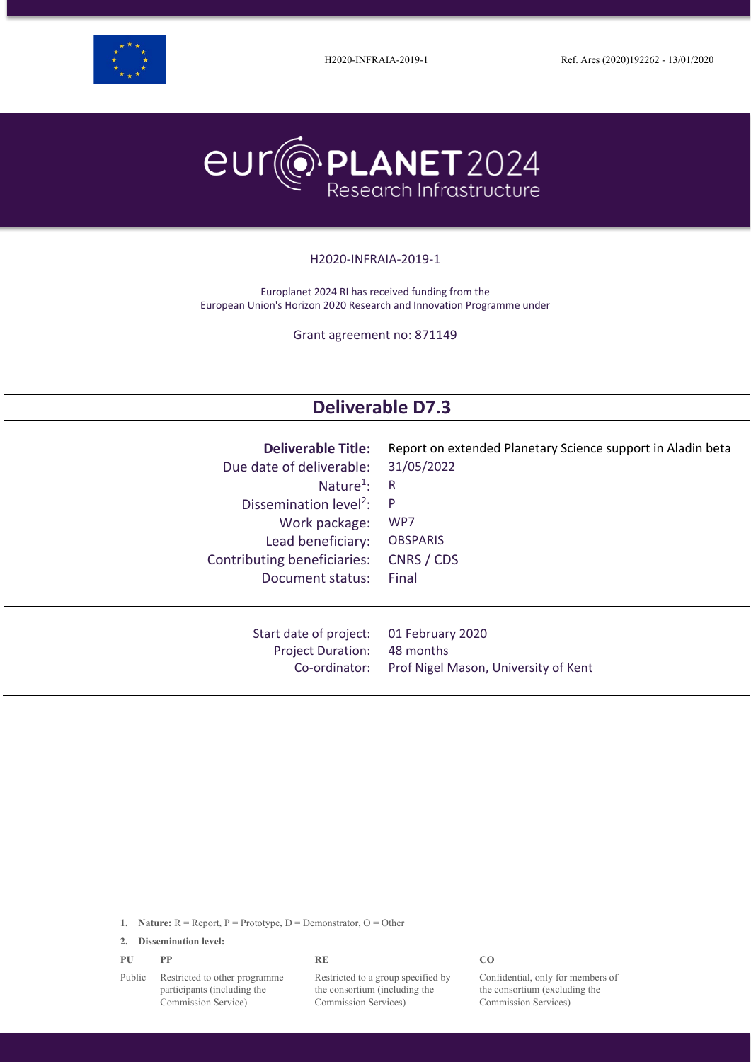



#### H2020-INFRAIA-2019-1

Europlanet 2024 RI has received funding from the European Union's Horizon 2020 Research and Innovation Programme under

Grant agreement no: 871149

# **Deliverable D7.3**

| <b>Deliverable Title:</b>          | Report on extended Planetary Science support in Aladin beta |
|------------------------------------|-------------------------------------------------------------|
| Due date of deliverable:           | 31/05/2022                                                  |
| Nature <sup>1</sup> :              | R                                                           |
| Dissemination level <sup>2</sup> : | P.                                                          |
| Work package:                      | WP7                                                         |
| Lead beneficiary:                  | <b>OBSPARIS</b>                                             |
| Contributing beneficiaries:        | CNRS / CDS                                                  |
| Document status:                   | Final                                                       |
| Start date of project:             | 01 February 2020                                            |
| <b>Project Duration:</b>           | 48 months                                                   |
| Co-ordinator:                      | Prof Nigel Mason, University of Kent                        |

**1. Nature:** R = Report, P = Prototype, D = Demonstrator, O = Other

**2. Dissemination level:**

| PU                                                           | РP                            | RE                                 | C <sub>O</sub> |
|--------------------------------------------------------------|-------------------------------|------------------------------------|----------------|
| Public<br>participants (including the<br>Commission Service) | Restricted to other programme | Restricted to a group specified by | Co1            |
|                                                              |                               | the consortium (including the      | the            |
|                                                              |                               | Commission Services)               | Coi            |

Confidential, only for members of the consortium (excluding the Commission Services)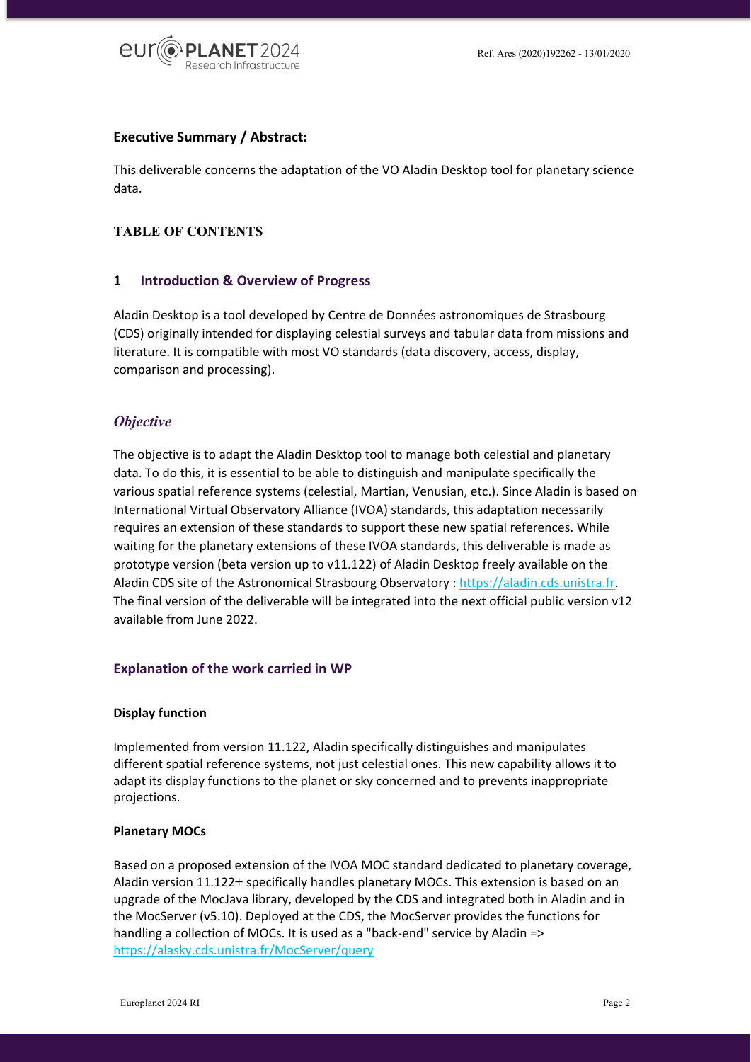

## **Executive Summary / Abstract:**

This deliverable concerns the adaptation of the VO Aladin Desktop tool for planetary science data.

## **TABLE OF CONTENTS**

## **1 Introduction & Overview of Progress**

Aladin Desktop is a tool developed by Centre de Données astronomiques de Strasbourg (CDS) originally intended for displaying celestial surveys and tabular data from missions and literature. It is compatible with most VO standards (data discovery, access, display, comparison and processing).

## *Objective*

The objective is to adapt the Aladin Desktop tool to manage both celestial and planetary data. To do this, it is essential to be able to distinguish and manipulate specifically the various spatial reference systems (celestial, Martian, Venusian, etc.). Since Aladin is based on International Virtual Observatory Alliance (IVOA) standards, this adaptation necessarily requires an extension of these standards to support these new spatial references. While waiting for the planetary extensions of these IVOA standards, this deliverable is made as prototype version (beta version up to v11.122) of Aladin Desktop freely available on the Aladin CDS site of the Astronomical Strasbourg Observatory : [https://aladin.cds.unistra.fr.](https://aladin.cds.unistra.fr/) The final version of the deliverable will be integrated into the next official public version v12 available from June 2022.

## **Explanation of the work carried in WP**

#### **Display function**

Implemented from version 11.122, Aladin specifically distinguishes and manipulates different spatial reference systems, not just celestial ones. This new capability allows it to adapt its display functions to the planet or sky concerned and to prevents inappropriate projections.

#### **Planetary MOCs**

Based on a proposed extension of the IVOA MOC standard dedicated to planetary coverage, Aladin version 11.122**+** specifically handles planetary MOCs. This extension is based on an upgrade of the MocJava library, developed by the CDS and integrated both in Aladin and in the MocServer (v5.10). Deployed at the CDS, the MocServer provides the functions for handling a collection of MOCs. It is used as a "back-end" service by Aladin => <https://alasky.cds.unistra.fr/MocServer/query>